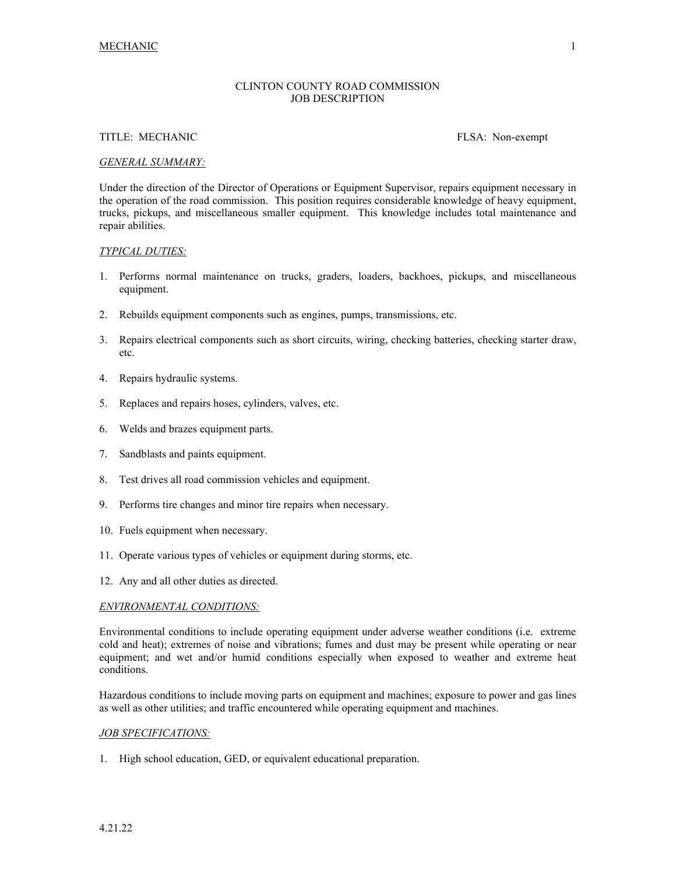# CLINTON COUNTY ROAD COMMISSION JOB DESCRIPTION

## TITLE: MECHANIC FLSA: Non-exempt

### *GENERAL SUMMARY:*

Under the direction of the Director of Operations or Equipment Supervisor, repairs equipment necessary in the operation of the road commission. This position requires considerable knowledge of heavy equipment, trucks, pickups, and miscellaneous smaller equipment. This knowledge includes total maintenance and repair abilities.

## *TYPICAL DUTIES:*

- 1. Performs normal maintenance on trucks, graders, loaders, backhoes, pickups, and miscellaneous equipment.
- 2. Rebuilds equipment components such as engines, pumps, transmissions, etc.
- 3. Repairs electrical components such as short circuits, wiring, checking batteries, checking starter draw, etc.
- 4. Repairs hydraulic systems.
- 5. Replaces and repairs hoses, cylinders, valves, etc.
- 6. Welds and brazes equipment parts.
- 7. Sandblasts and paints equipment.
- 8. Test drives all road commission vehicles and equipment.
- 9. Performs tire changes and minor tire repairs when necessary.
- 10. Fuels equipment when necessary.
- 11. Operate various types of vehicles or equipment during storms, etc.
- 12. Any and all other duties as directed.

## *ENVIRONMENTAL CONDITIONS:*

Environmental conditions to include operating equipment under adverse weather conditions (i.e. extreme cold and heat); extremes of noise and vibrations; fumes and dust may be present while operating or near equipment; and wet and/or humid conditions especially when exposed to weather and extreme heat conditions.

Hazardous conditions to include moving parts on equipment and machines; exposure to power and gas lines as well as other utilities; and traffic encountered while operating equipment and machines.

#### *JOB SPECIFICATIONS:*

1. High school education, GED, or equivalent educational preparation.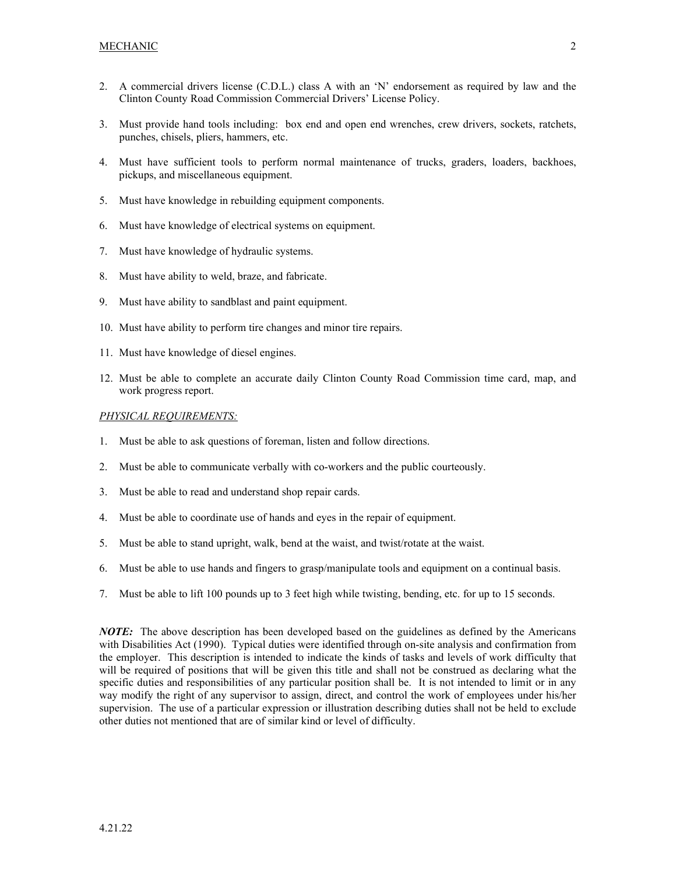- 2. A commercial drivers license (C.D.L.) class A with an 'N' endorsement as required by law and the Clinton County Road Commission Commercial Drivers' License Policy.
- 3. Must provide hand tools including: box end and open end wrenches, crew drivers, sockets, ratchets, punches, chisels, pliers, hammers, etc.
- 4. Must have sufficient tools to perform normal maintenance of trucks, graders, loaders, backhoes, pickups, and miscellaneous equipment.
- 5. Must have knowledge in rebuilding equipment components.
- 6. Must have knowledge of electrical systems on equipment.
- 7. Must have knowledge of hydraulic systems.
- 8. Must have ability to weld, braze, and fabricate.
- 9. Must have ability to sandblast and paint equipment.
- 10. Must have ability to perform tire changes and minor tire repairs.
- 11. Must have knowledge of diesel engines.
- 12. Must be able to complete an accurate daily Clinton County Road Commission time card, map, and work progress report.

#### *PHYSICAL REQUIREMENTS:*

- 1. Must be able to ask questions of foreman, listen and follow directions.
- 2. Must be able to communicate verbally with co-workers and the public courteously.
- 3. Must be able to read and understand shop repair cards.
- 4. Must be able to coordinate use of hands and eyes in the repair of equipment.
- 5. Must be able to stand upright, walk, bend at the waist, and twist/rotate at the waist.
- 6. Must be able to use hands and fingers to grasp/manipulate tools and equipment on a continual basis.
- 7. Must be able to lift 100 pounds up to 3 feet high while twisting, bending, etc. for up to 15 seconds.

*NOTE:* The above description has been developed based on the guidelines as defined by the Americans with Disabilities Act (1990). Typical duties were identified through on-site analysis and confirmation from the employer. This description is intended to indicate the kinds of tasks and levels of work difficulty that will be required of positions that will be given this title and shall not be construed as declaring what the specific duties and responsibilities of any particular position shall be. It is not intended to limit or in any way modify the right of any supervisor to assign, direct, and control the work of employees under his/her supervision. The use of a particular expression or illustration describing duties shall not be held to exclude other duties not mentioned that are of similar kind or level of difficulty.